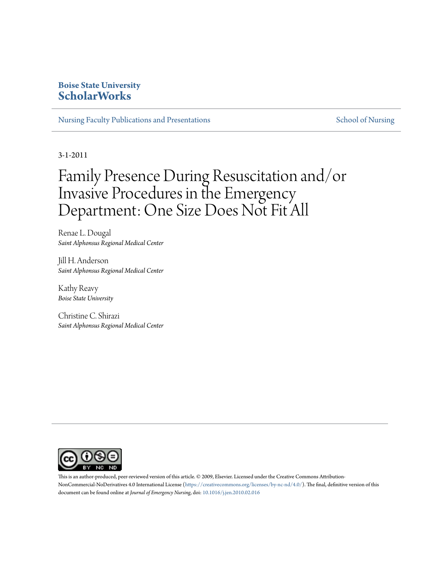# **Boise State University [ScholarWorks](https://scholarworks.boisestate.edu)**

[Nursing Faculty Publications and Presentations](https://scholarworks.boisestate.edu/nursing_facpubs) [School of Nursing](https://scholarworks.boisestate.edu/nursing) School of Nursing

3-1-2011

# Family Presence During Resuscitation and/or Invasive Procedures in the Emergency Department: One Size Does Not Fit All

Renae L. Dougal *Saint Alphonsus Regional Medical Center*

Jill H. Anderson *Saint Alphonsus Regional Medical Center*

Kathy Reavy *Boise State University*

Christine C. Shirazi *Saint Alphonsus Regional Medical Center*



This is an author-produced, peer-reviewed version of this article. © 2009, Elsevier. Licensed under the Creative Commons AttributionNonCommercial-NoDerivatives 4.0 International License (<https://creativecommons.org/licenses/by-nc-nd/4.0/>). The final, definitive version of this document can be found online at *Journal of Emergency Nursing*, doi: [10.1016/j.jen.2010.02.016](http://dx.doi.org/10.1016/j.jen.2010.02.016)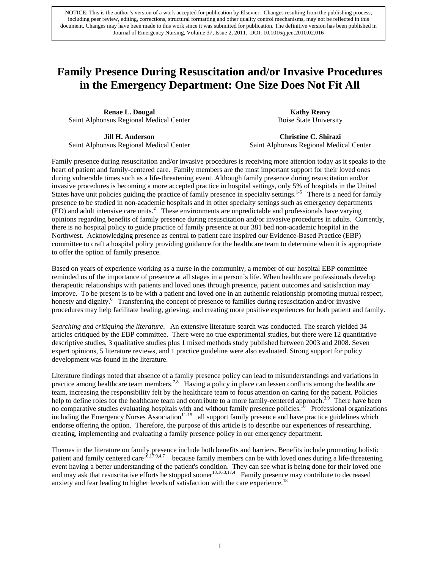# **Family Presence During Resuscitation and/or Invasive Procedures in the Emergency Department: One Size Does Not Fit All**

**Renae L. Dougal**  Saint Alphonsus Regional Medical Center

**Kathy Reavy** Boise State University

**Jill H. Anderson**  Saint Alphonsus Regional Medical Center

**Christine C. Shirazi**  Saint Alphonsus Regional Medical Center

Family presence during resuscitation and/or invasive procedures is receiving more attention today as it speaks to the heart of patient and family-centered care. Family members are the most important support for their loved ones during vulnerable times such as a life-threatening event. Although family presence during resuscitation and/or invasive procedures is becoming a more accepted practice in hospital settings, only 5% of hospitals in the United States have unit policies guiding the practice of family presence in specialty settings.<sup>1-5</sup> There is a need for family presence to be studied in non-academic hospitals and in other specialty settings such as emergency departments  $(ED)$  and adult intensive care units.<sup>2</sup> These environments are unpredictable and professionals have varying opinions regarding benefits of family presence during resuscitation and/or invasive procedures in adults. Currently, there is no hospital policy to guide practice of family presence at our 381 bed non-academic hospital in the Northwest. Acknowledging presence as central to patient care inspired our Evidence-Based Practice (EBP) committee to craft a hospital policy providing guidance for the healthcare team to determine when it is appropriate to offer the option of family presence.

Based on years of experience working as a nurse in the community, a member of our hospital EBP committee reminded us of the importance of presence at all stages in a person's life. When healthcare professionals develop therapeutic relationships with patients and loved ones through presence, patient outcomes and satisfaction may improve. To be present is to be with a patient and loved one in an authentic relationship promoting mutual respect, honesty and dignity.<sup>6</sup> Transferring the concept of presence to families during resuscitation and/or invasive procedures may help facilitate healing, grieving, and creating more positive experiences for both patient and family.

*Searching and critiquing the literature*. An extensive literature search was conducted. The search yielded 34 articles critiqued by the EBP committee. There were no true experimental studies, but there were 12 quantitative descriptive studies, 3 qualitative studies plus 1 mixed methods study published between 2003 and 2008. Seven expert opinions, 5 literature reviews, and 1 practice guideline were also evaluated. Strong support for policy development was found in the literature.

Literature findings noted that absence of a family presence policy can lead to misunderstandings and variations in practice among healthcare team members.7,8 Having a policy in place can lessen conflicts among the healthcare team, increasing the responsibility felt by the healthcare team to focus attention on caring for the patient. Policies help to define roles for the healthcare team and contribute to a more family-centered approach.<sup>3,9</sup> There have been no comparative studies evaluating hospitals with and without family presence policies.<sup>10</sup> Professional organizations including the Emergency Nurses Association<sup>11-15</sup> all support family presence and have practice guidelines which endorse offering the option. Therefore, the purpose of this article is to describe our experiences of researching, creating, implementing and evaluating a family presence policy in our emergency department.

Themes in the literature on family presence include both benefits and barriers. Benefits include promoting holistic patient and family centered care<sup>16,17,9,4,7</sup> because family members can be with loved ones during a life-threatening event having a better understanding of the patient's condition. They can see what is being done for their loved one and may ask that resuscitative efforts be stopped sooner<sup>18,16,3,17,4</sup> Family presence may contribute to decreased anxiety and fear leading to higher levels of satisfaction with the care experience.<sup>18</sup>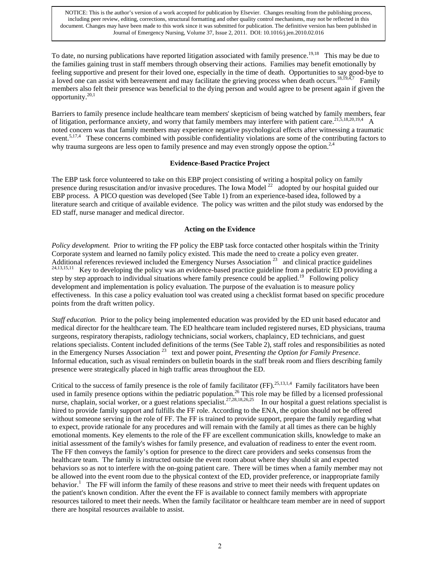To date, no nursing publications have reported litigation associated with family presence.<sup>19,18</sup> This may be due to the families gaining trust in staff members through observing their actions. Families may benefit emotionally by feeling supportive and present for their loved one, especially in the time of death. Opportunities to say good-bye to a loved one can assist with bereavement and may facilitate the grieving process when death occurs.<sup>18,19,4,7</sup> Family members also felt their presence was beneficial to the dying person and would agree to be present again if given the opportunity. $20,1$ 

Barriers to family presence include healthcare team members' skepticism of being watched by family members, fear of litigation, performance anxiety, and worry that family members may interfere with patient care.<sup>21,5,18,20,19,4</sup> A noted concern was that family members may experience negative psychological effects after witnessing a traumatic event.<sup>5,17,4</sup> These concerns combined with possible confidentiality violations are some of the contributing factors to why trauma surgeons are less open to family presence and may even strongly oppose the option.<sup>2,4</sup>

#### **Evidence-Based Practice Project**

The EBP task force volunteered to take on this EBP project consisting of writing a hospital policy on family presence during resuscitation and/or invasive procedures. The Iowa Model 22 adopted by our hospital guided our EBP process. A PICO question was developed (See Table 1) from an experience-based idea, followed by a literature search and critique of available evidence. The policy was written and the pilot study was endorsed by the ED staff, nurse manager and medical director.

#### **Acting on the Evidence**

*Policy development.* Prior to writing the FP policy the EBP task force contacted other hospitals within the Trinity Corporate system and learned no family policy existed. This made the need to create a policy even greater. Additional references reviewed included the Emergency Nurses Association<sup>23</sup> and clinical practice guidelines  $^{24,13,15,11}$  Key to developing the policy was an evidence-based practice guideline from a pediatric ED providing a step by step approach to individual situations where family presence could be applied.<sup>19</sup> Following policy development and implementation is policy evaluation. The purpose of the evaluation is to measure policy effectiveness. In this case a policy evaluation tool was created using a checklist format based on specific procedure points from the draft written policy.

*Staff education.* Prior to the policy being implemented education was provided by the ED unit based educator and medical director for the healthcare team. The ED healthcare team included registered nurses, ED physicians, trauma surgeons, respiratory therapists, radiology technicians, social workers, chaplaincy, ED technicians, and guest relations specialists. Content included definitions of the terms (See Table 2), staff roles and responsibilities as noted in the Emergency Nurses Association 23 text and power point, *Presenting the Option for Family Presence*. Informal education, such as visual reminders on bulletin boards in the staff break room and fliers describing family presence were strategically placed in high traffic areas throughout the ED.

Critical to the success of family presence is the role of family facilitator  $(FF)$ .<sup>25,13,1,4</sup> Family facilitators have been used in family presence options within the pediatric population.<sup>26</sup> This role may be filled by a licensed professional nurse, chaplain, social worker, or a guest relations specialist.<sup>27,28,18,26,25</sup> In our hospital a guest relations specialist is hired to provide family support and fulfills the FF role. According to the ENA, the option should not be offered without someone serving in the role of FF. The FF is trained to provide support, prepare the family regarding what to expect, provide rationale for any procedures and will remain with the family at all times as there can be highly emotional moments. Key elements to the role of the FF are excellent communication skills, knowledge to make an initial assessment of the family's wishes for family presence, and evaluation of readiness to enter the event room. The FF then conveys the family's option for presence to the direct care providers and seeks consensus from the healthcare team. The family is instructed outside the event room about where they should sit and expected behaviors so as not to interfere with the on-going patient care. There will be times when a family member may not be allowed into the event room due to the physical context of the ED, provider preference, or inappropriate family behavior.<sup>1</sup> The FF will inform the family of these reasons and strive to meet their needs with frequent updates on the patient's known condition. After the event the FF is available to connect family members with appropriate resources tailored to meet their needs. When the family facilitator or healthcare team member are in need of support there are hospital resources available to assist.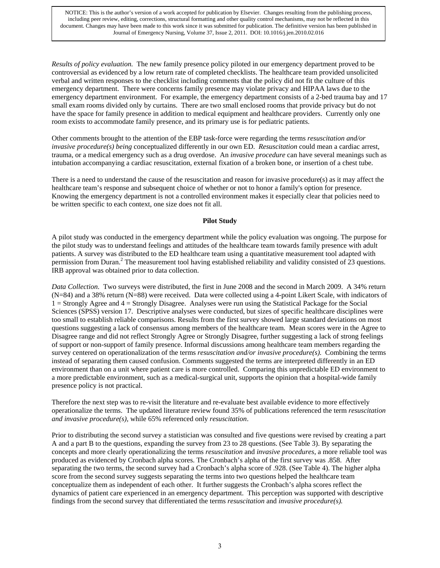*Results of policy evaluation.* The new family presence policy piloted in our emergency department proved to be controversial as evidenced by a low return rate of completed checklists. The healthcare team provided unsolicited verbal and written responses to the checklist including comments that the policy did not fit the culture of this emergency department. There were concerns family presence may violate privacy and HIPAA laws due to the emergency department environment. For example, the emergency department consists of a 2-bed trauma bay and 17 small exam rooms divided only by curtains. There are two small enclosed rooms that provide privacy but do not have the space for family presence in addition to medical equipment and healthcare providers. Currently only one room exists to accommodate family presence, and its primary use is for pediatric patients.

Other comments brought to the attention of the EBP task-force were regarding the terms *resuscitation and/or invasive procedure(s) being* conceptualized differently in our own ED. *Resuscitation* could mean a cardiac arrest, trauma, or a medical emergency such as a drug overdose. An *invasive procedure* can have several meanings such as intubation accompanying a cardiac resuscitation, external fixation of a broken bone, or insertion of a chest tube.

There is a need to understand the cause of the resuscitation and reason for invasive procedure(s) as it may affect the healthcare team's response and subsequent choice of whether or not to honor a family's option for presence. Knowing the emergency department is not a controlled environment makes it especially clear that policies need to be written specific to each context, one size does not fit all.

#### **Pilot Study**

A pilot study was conducted in the emergency department while the policy evaluation was ongoing. The purpose for the pilot study was to understand feelings and attitudes of the healthcare team towards family presence with adult patients. A survey was distributed to the ED healthcare team using a quantitative measurement tool adapted with permission from Duran.<sup>2</sup> The measurement tool having established reliability and validity consisted of 23 questions. IRB approval was obtained prior to data collection.

*Data Collection.* Two surveys were distributed, the first in June 2008 and the second in March 2009. A 34% return (N=84) and a 38% return (N=88) were received. Data were collected using a 4-point Likert Scale, with indicators of 1 = Strongly Agree and 4 = Strongly Disagree. Analyses were run using the Statistical Package for the Social Sciences (SPSS) version 17. Descriptive analyses were conducted, but sizes of specific healthcare disciplines were too small to establish reliable comparisons. Results from the first survey showed large standard deviations on most questions suggesting a lack of consensus among members of the healthcare team. Mean scores were in the Agree to Disagree range and did not reflect Strongly Agree or Strongly Disagree, further suggesting a lack of strong feelings of support or non-support of family presence. Informal discussions among healthcare team members regarding the survey centered on operationalization of the terms *resuscitation and/or invasive procedure(s).* Combining the terms instead of separating them caused confusion. Comments suggested the terms are interpreted differently in an ED environment than on a unit where patient care is more controlled. Comparing this unpredictable ED environment to a more predictable environment, such as a medical-surgical unit, supports the opinion that a hospital-wide family presence policy is not practical.

Therefore the next step was to re-visit the literature and re-evaluate best available evidence to more effectively operationalize the terms. The updated literature review found 35% of publications referenced the term *resuscitation and invasive procedure(s),* while 65% referenced only *resuscitation*.

Prior to distributing the second survey a statistician was consulted and five questions were revised by creating a part A and a part B to the questions, expanding the survey from 23 to 28 questions. (See Table 3). By separating the concepts and more clearly operationalizing the terms *resuscitation* and *invasive procedures*, a more reliable tool was produced as evidenced by Cronbach alpha scores. The Cronbach's alpha of the first survey was .858. After separating the two terms, the second survey had a Cronbach's alpha score of .928. (See Table 4). The higher alpha score from the second survey suggests separating the terms into two questions helped the healthcare team conceptualize them as independent of each other. It further suggests the Cronbach's alpha scores reflect the dynamics of patient care experienced in an emergency department. This perception was supported with descriptive findings from the second survey that differentiated the terms *resuscitation* and *invasive procedure(s).*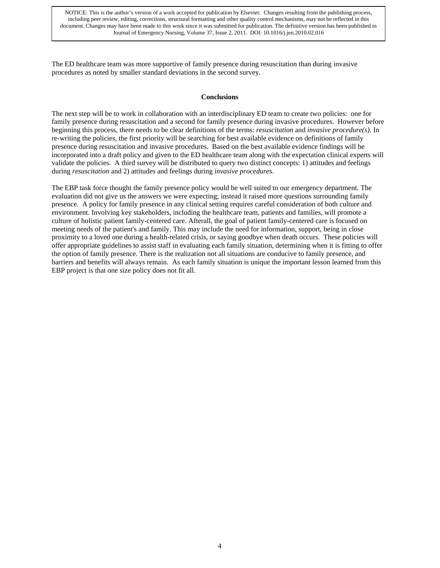The ED healthcare team was more supportive of family presence during resuscitation than during invasive procedures as noted by smaller standard deviations in the second survey.

#### **Conclusions**

The next step will be to work in collaboration with an interdisciplinary ED team to create two policies: one for family presence during resuscitation and a second for family presence during invasive procedures. However before beginning this process, there needs to be clear definitions of the terms: *resuscitation* and *invasive procedure(s)*. In re-writing the policies, the first priority will be searching for best available evidence on definitions of family presence during resuscitation and invasive procedures. Based on the best available evidence findings will be incorporated into a draft policy and given to the ED healthcare team along with the expectation clinical experts will validate the policies. A third survey will be distributed to query two distinct concepts: 1) attitudes and feelings during *resuscitation* and 2) attitudes and feelings during *invasive procedures*.

The EBP task force thought the family presence policy would be well suited to our emergency department. The evaluation did not give us the answers we were expecting; instead it raised more questions surrounding family presence. A policy for family presence in any clinical setting requires careful consideration of both culture and environment. Involving key stakeholders, including the healthcare team, patients and families, will promote a culture of holistic patient family-centered care. Afterall, the goal of patient family-centered care is focused on meeting needs of the patient's and family. This may include the need for information, support, being in close proximity to a loved one during a health-related crisis, or saying goodbye when death occurs. These policies will offer appropriate guidelines to assist staff in evaluating each family situation, determining when it is fitting to offer the option of family presence. There is the realization not all situations are conducive to family presence, and barriers and benefits will always remain. As each family situation is unique the important lesson learned from this EBP project is that one size policy does not fit all.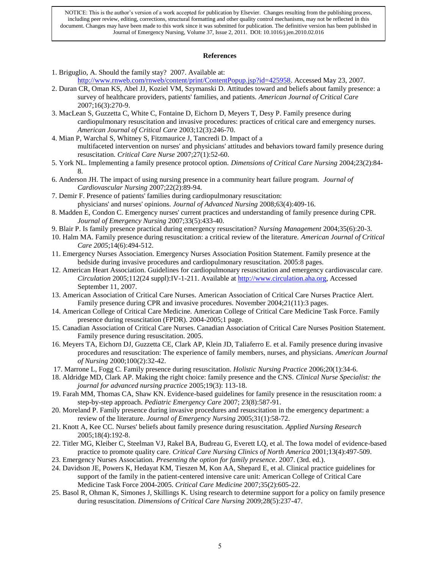#### **References**

- 1. Briguglio, A. Should the family stay? 2007. Available at: [http://www.rnweb.com/rnweb/content/print/ContentPopup.jsp?id=425958.](http://www.rnweb.com/rnweb/content/print/ContentPopup.jsp?id=425958) Accessed May 23, 2007.
- 2. Duran CR, Oman KS, Abel JJ, Koziel VM, Szymanski D. Attitudes toward and beliefs about family presence: a survey of healthcare providers, patients' families, and patients. *American Journal of Critical Care*  2007;16(3):270-9.
- 3. MacLean S, Guzzetta C, White C, Fontaine D, Eichorn D, Meyers T, Desy P. Family presence during cardiopulmonary resuscitation and invasive procedures: practices of critical care and emergency nurses. *American Journal of Critical Care* 2003;12(3):246-70.
- 4. Mian P, Warchal S, Whitney S, Fitzmaurice J, Tancredi D. Impact of a multifaceted intervention on nurses' and physicians' attitudes and behaviors toward family presence during resuscitation. *Critical Care Nurse* 2007;27(1):52-60.
- 5. York NL. Implementing a family presence protocol option. *Dimensions of Critical Care Nursing* 2004;23(2):84- 8.
- 6. Anderson JH. The impact of using nursing presence in a community heart failure program. *Journal of Cardiovascular Nursing* 2007;22(2):89-94.
- 7. Demir F. Presence of patients' families during cardiopulmonary resuscitation: physicians' and nurses' opinions. *Journal of Advanced Nursing* 2008;63(4):409-16.
- 8. Madden E, Condon C. Emergency nurses' current practices and understanding of family presence during CPR. *Journal of Emergency Nursing* 2007;33(5):433-40.
- 9. Blair P. Is family presence practical during emergency resuscitation? *Nursing Management* 2004;35(6):20-3.
- 10. Halm MA. Family presence during resuscitation: a critical review of the literature. *American Journal of Critical Care 2005*;14(6):494-512.
- 11. Emergency Nurses Association. Emergency Nurses Association Position Statement. Family presence at the bedside during invasive procedures and cardiopulmonary resuscitation*.* 2005:8 pages.
- 12. American Heart Association. Guidelines for cardiopulmonary resuscitation and emergency cardiovascular care. *Circulation* 2005;112(24 suppl):IV-1-211. Available at [http://www.circulation.aha.org,](http://www.circulation.aha.org/) Accessed September 11, 2007.
- 13. American Association of Critical Care Nurses. American Association of Critical Care Nurses Practice Alert. Family presence during CPR and invasive procedures. November 2004;21(11):3 pages.
- 14. American College of Critical Care Medicine. American College of Critical Care Medicine Task Force. Family presence during resuscitation (FPDR). 2004-2005;1 page.
- 15. Canadian Association of Critical Care Nurses. Canadian Association of Critical Care Nurses Position Statement. Family presence during resuscitation. 2005.
- 16. Meyers TA, Eichorn DJ, Guzzetta CE, Clark AP, Klein JD, Taliaferro E. et al. Family presence during invasive procedures and resuscitation: The experience of family members, nurses, and physicians. *American Journal of Nursing* 2000;100(2):32-42.
- 17. Marrone L, Fogg C. Family presence during resuscitation. *Holistic Nursing Practice* 2006;20(1):34-6.
- 18. Aldridge MD, Clark AP. Making the right choice: family presence and the CNS. *Clinical Nurse Specialist: the journal for advanced nursing practice* 2005;19(3): 113-18.
- 19. Farah MM, Thomas CA, Shaw KN. Evidence-based guidelines for family presence in the resuscitation room: a step-by-step approach. *Pediatric Emergency Care* 2007; 23(8):587-91.
- 20. Moreland P. Family presence during invasive procedures and resuscitation in the emergency department: a review of the literature. *Journal of Emergency Nursing* 2005;31(1):58-72.
- 21. Knott A, Kee CC. Nurses' beliefs about family presence during resuscitation. *Applied Nursing Research*  2005;18(4):192-8.
- 22. Titler MG, Kleiber C, Steelman VJ, Rakel BA, Budreau G, Everett LQ, et al. The Iowa model of evidence-based practice to promote quality care. *Critical Care Nursing Clinics of North America* 2001;13(4):497-509.
- 23. Emergency Nurses Association. *Presenting the option for family presence*. 2007. (3rd. ed.).
- 24. Davidson JE, Powers K, Hedayat KM, Tieszen M, Kon AA, Shepard E, et al. Clinical practice guidelines for support of the family in the patient-centered intensive care unit: American College of Critical Care Medicine Task Force 2004-2005. *Critical Care Medicine* 2007;35(2):605-22.
- 25. Basol R, Ohman K, Simones J, Skillings K. Using research to determine support for a policy on family presence during resuscitation. *Dimensions of Critical Care Nursing* 2009;28(5):237-47.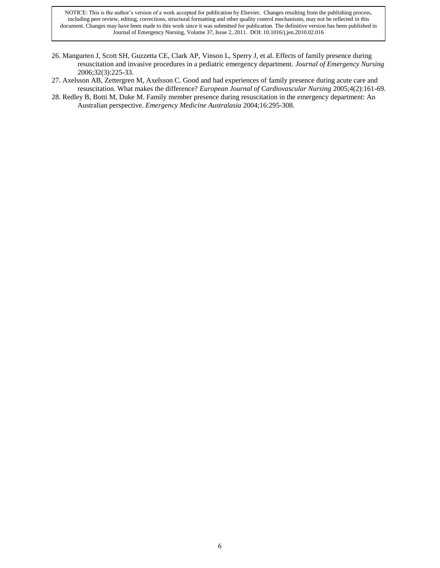- 26. Mangurten J, Scott SH, Guzzetta CE, Clark AP, Vinson L, Sperry J, et al. Effects of family presence during resuscitation and invasive procedures in a pediatric emergency department. *Journal of Emergency Nursing* 2006;32(3):225-33.
- 27. Axelsson AB, Zettergren M, Axelsson C. Good and bad experiences of family presence during acute care and resuscitation. What makes the difference? *European Journal of Cardiovascular Nursing* 2005;4(2):161-69.
- 28. Redley B, Botti M, Duke M. Family member presence during resuscitation in the emergency department: An Australian perspective. *Emergency Medicine Australasia* 2004;16:295-308.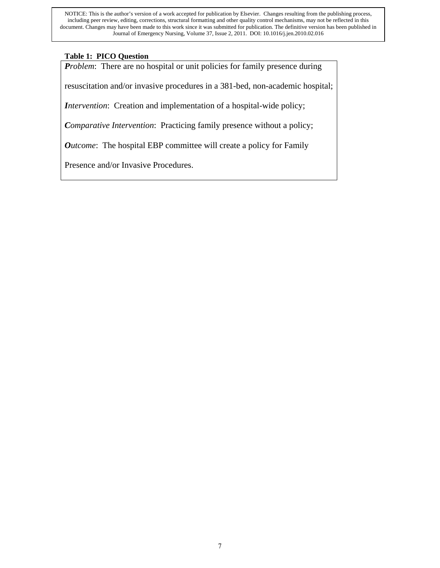# **Table 1: PICO Question**

*Problem*: There are no hospital or unit policies for family presence during

resuscitation and/or invasive procedures in a 381-bed, non-academic hospital;

*Intervention*: Creation and implementation of a hospital-wide policy;

*Comparative Intervention*: Practicing family presence without a policy;

*Outcome*: The hospital EBP committee will create a policy for Family

Presence and/or Invasive Procedures.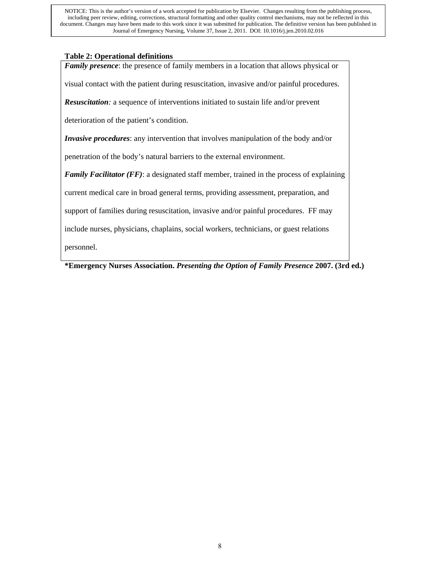### **Table 2: Operational definitions**

*Family presence*: the presence of family members in a location that allows physical or

visual contact with the patient during resuscitation, invasive and/or painful procedures.

*Resuscitation:* a sequence of interventions initiated to sustain life and/or prevent

deterioration of the patient's condition.

*Invasive procedures*: any intervention that involves manipulation of the body and/or

penetration of the body's natural barriers to the external environment.

*Family Facilitator (FF)*: a designated staff member, trained in the process of explaining

current medical care in broad general terms, providing assessment, preparation, and

support of families during resuscitation, invasive and/or painful procedures. FF may

include nurses, physicians, chaplains, social workers, technicians, or guest relations

personnel.

**\*Emergency Nurses Association.** *Presenting the Option of Family Presence* **2007. (3rd ed.)**